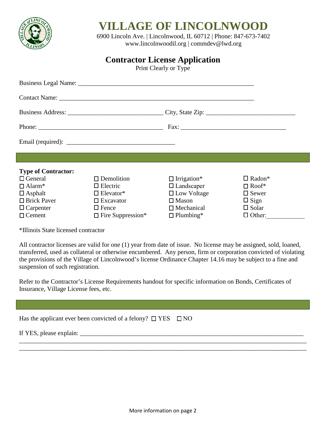

## **VILLAGE OF LINCOLNWOOD**

6900 Lincoln Ave. | Lincolnwood, IL 60712 | Phone: 847-673-7402 [www.lincolnwoodil.org](http://www.lincolnwoodil.org/) | commdev@lwd.org

## **Contractor License Application**

Print Clearly or Type

| Fax:                       |                          |                    |                           |
|----------------------------|--------------------------|--------------------|---------------------------|
|                            |                          |                    |                           |
|                            |                          |                    |                           |
| <b>Type of Contractor:</b> |                          |                    |                           |
| $\Box$ General             | $\Box$ Demolition        | $\Box$ Irrigation* | $\Box$ Radon <sup>*</sup> |
| $\Box$ Alarm <sup>*</sup>  | $\Box$ Electric          | $\Box$ Landscaper  | $\Box$ Roof*              |
| $\Box$ Asphalt             | $\Box$ Elevator*         | $\Box$ Low Voltage | $\Box$ Sewer              |
| $\Box$ Brick Paver         | $\Box$ Excavator         | $\Box$ Mason       | $\Box$ Sign               |
| $\Box$ Carpenter           | $\Box$ Fence             | $\Box$ Mechanical  | $\Box$ Solar              |
| $\Box$ Cement              | $\Box$ Fire Suppression* | $\Box$ Plumbing*   | $\Box$ Other:             |

\*Illinois State licensed contractor

All contractor licenses are valid for one (1) year from date of issue. No license may be assigned, sold, loaned, transferred, used as collateral or otherwise encumbered. Any person, firm or corporation convicted of violating the provisions of the Village of Lincolnwood's license Ordinance Chapter 14.16 may be subject to a fine and suspension of such registration.

Refer to the Contractor's License Requirements handout for specific information on Bonds, Certificates of Insurance, Village License fees, etc.

| Has the applicant ever been convicted of a felony? $\Box$ YES $\Box$ NO                                                                                                                                                                                                                           |  |
|---------------------------------------------------------------------------------------------------------------------------------------------------------------------------------------------------------------------------------------------------------------------------------------------------|--|
| If YES, please explain: $\frac{1}{2}$ = $\frac{1}{2}$ = $\frac{1}{2}$ = $\frac{1}{2}$ = $\frac{1}{2}$ = $\frac{1}{2}$ = $\frac{1}{2}$ = $\frac{1}{2}$ = $\frac{1}{2}$ = $\frac{1}{2}$ = $\frac{1}{2}$ = $\frac{1}{2}$ = $\frac{1}{2}$ = $\frac{1}{2}$ = $\frac{1}{2}$ = $\frac{1}{2}$ = $\frac{1$ |  |
|                                                                                                                                                                                                                                                                                                   |  |